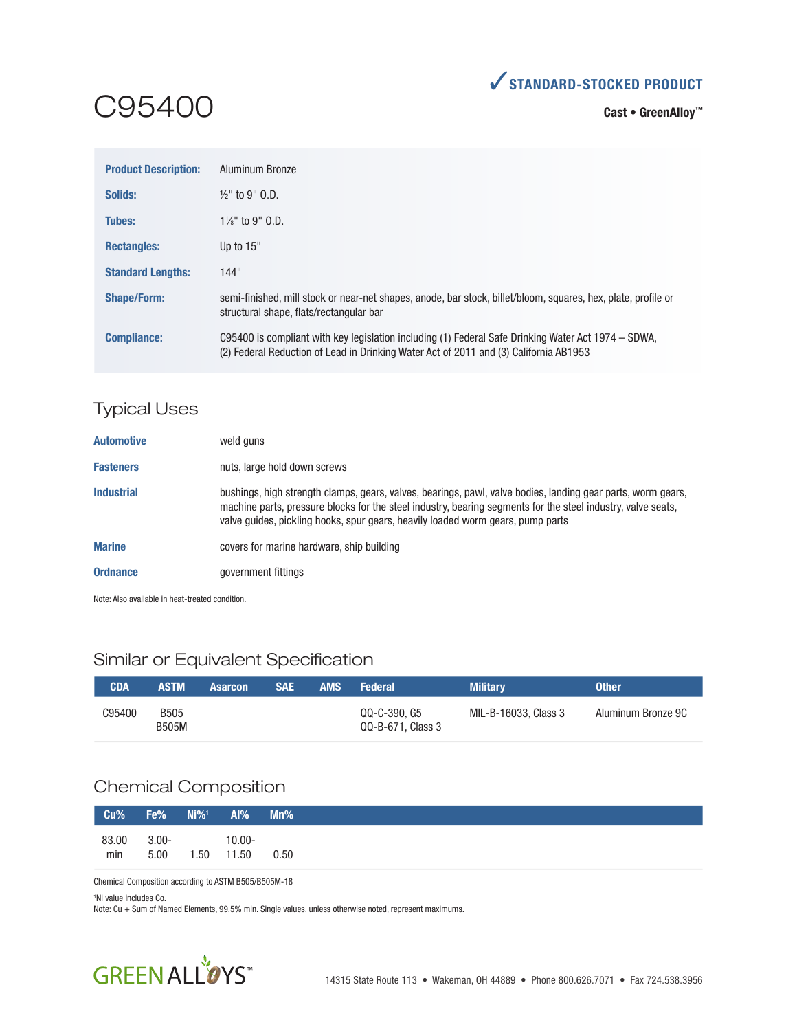

# C95400

**Cast • GreenAlloy™**

| <b>Product Description:</b> | Aluminum Bronze                                                                                                                                                                              |
|-----------------------------|----------------------------------------------------------------------------------------------------------------------------------------------------------------------------------------------|
| Solids:                     | $\frac{1}{2}$ " to 9" O.D.                                                                                                                                                                   |
| Tubes:                      | $1\frac{1}{8}$ " to 9" $0.$ D.                                                                                                                                                               |
| <b>Rectangles:</b>          | Up to $15"$                                                                                                                                                                                  |
| <b>Standard Lengths:</b>    | 144"                                                                                                                                                                                         |
| <b>Shape/Form:</b>          | semi-finished, mill stock or near-net shapes, anode, bar stock, billet/bloom, squares, hex, plate, profile or<br>structural shape, flats/rectangular bar                                     |
| <b>Compliance:</b>          | C95400 is compliant with key legislation including (1) Federal Safe Drinking Water Act 1974 – SDWA,<br>(2) Federal Reduction of Lead in Drinking Water Act of 2011 and (3) California AB1953 |

## Typical Uses

| <b>Automotive</b> | weld guns                                                                                                                                                                                                                                                                                                       |
|-------------------|-----------------------------------------------------------------------------------------------------------------------------------------------------------------------------------------------------------------------------------------------------------------------------------------------------------------|
| <b>Fasteners</b>  | nuts, large hold down screws                                                                                                                                                                                                                                                                                    |
| <b>Industrial</b> | bushings, high strength clamps, gears, valves, bearings, pawl, valve bodies, landing gear parts, worm gears,<br>machine parts, pressure blocks for the steel industry, bearing segments for the steel industry, valve seats,<br>valve quides, pickling hooks, spur gears, heavily loaded worm gears, pump parts |
| <b>Marine</b>     | covers for marine hardware, ship building                                                                                                                                                                                                                                                                       |
| <b>Ordnance</b>   | government fittings                                                                                                                                                                                                                                                                                             |

Note: Also available in heat-treated condition.

## Similar or Equivalent Specification

| <b>CDA</b> | <b>ASTM</b>                 | <b>Asarcon</b> | <b>SAE</b> | <b>AMS</b> | <b>Federal</b>                    | <b>Military</b>      | <b>Other</b>       |
|------------|-----------------------------|----------------|------------|------------|-----------------------------------|----------------------|--------------------|
| C95400     | <b>B505</b><br><b>B505M</b> |                |            |            | QQ-C-390, G5<br>QQ-B-671, Class 3 | MIL-B-16033, Class 3 | Aluminum Bronze 9C |

# Chemical Composition

| Cu%          | Fe%              | $Ni\%1$    | Al%       | Mn%  |
|--------------|------------------|------------|-----------|------|
| 83.00<br>min | $3.00 -$<br>5.00 | 1.50 11.50 | $10.00 -$ | 0.50 |

Chemical Composition according to ASTM B505/B505M-18

1 Ni value includes Co.

Note: Cu + Sum of Named Elements, 99.5% min. Single values, unless otherwise noted, represent maximums.